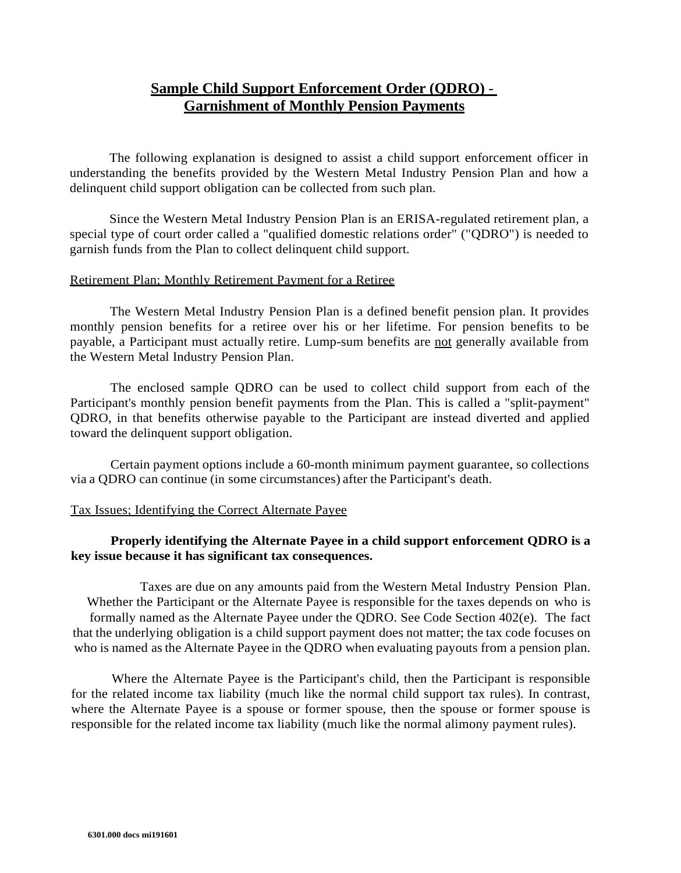# **Sample Child Support Enforcement Order (QDRO)** - **Garnishment of Monthly Pension Payments**

The following explanation is designed to assist a child support enforcement officer in understanding the benefits provided by the Western Metal Industry Pension Plan and how a delinquent child support obligation can be collected from such plan.

Since the Western Metal Industry Pension Plan is an ERISA-regulated retirement plan, a special type of court order called a "qualified domestic relations order" ("QDRO") is needed to garnish funds from the Plan to collect delinquent child support.

#### Retirement Plan; Monthly Retirement Payment for a Retiree

The Western Metal Industry Pension Plan is a defined benefit pension plan. It provides monthly pension benefits for a retiree over his or her lifetime. For pension benefits to be payable, a Participant must actually retire. Lump-sum benefits are not generally available from the Western Metal Industry Pension Plan.

The enclosed sample QDRO can be used to collect child support from each of the Participant's monthly pension benefit payments from the Plan. This is called a "split-payment" QDRO, in that benefits otherwise payable to the Participant are instead diverted and applied toward the delinquent support obligation.

Certain payment options include a 60-month minimum payment guarantee, so collections via a QDRO can continue (in some circumstances) after the Participant's death.

#### Tax Issues; Identifying the Correct Alternate Payee

#### **Properly identifying the Alternate Payee in a child support enforcement QDRO is a key issue because it has significant tax consequences.**

Taxes are due on any amounts paid from the Western Metal Industry Pension Plan. Whether the Participant or the Alternate Payee is responsible for the taxes depends on who is formally named as the Alternate Payee under the QDRO. See Code Section 402(e). The fact that the underlying obligation is a child support payment does not matter; the tax code focuses on who is named as the Alternate Payee in the QDRO when evaluating payouts from a pension plan.

Where the Alternate Payee is the Participant's child, then the Participant is responsible for the related income tax liability (much like the normal child support tax rules). In contrast, where the Alternate Payee is a spouse or former spouse, then the spouse or former spouse is responsible for the related income tax liability (much like the normal alimony payment rules).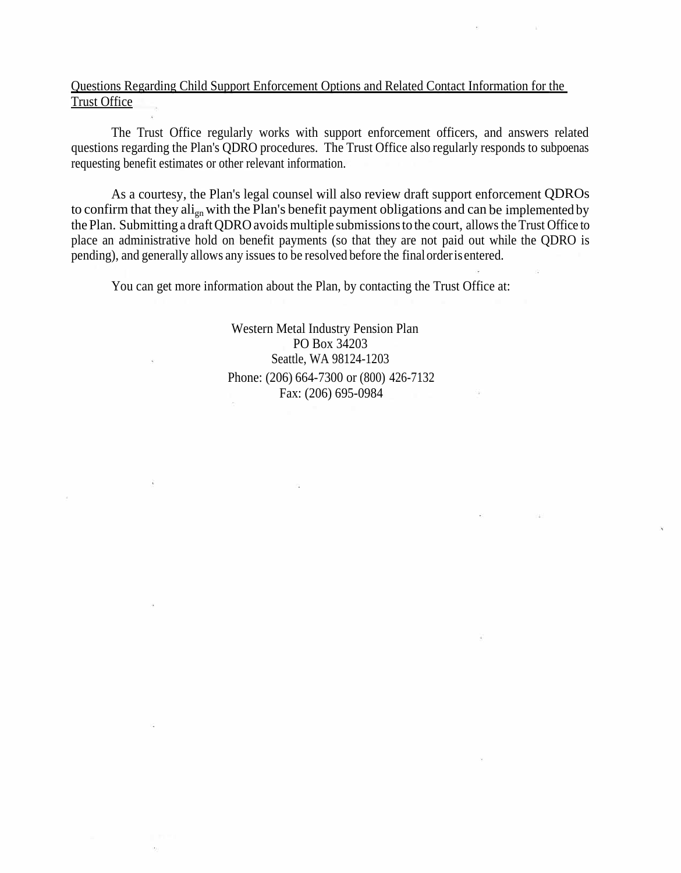### Questions Regarding Child Support Enforcement Options and Related Contact Information for the Trust Office

The Trust Office regularly works with support enforcement officers, and answers related questions regarding the Plan's QDRO procedures. The Trust Office also regularly responds to subpoenas requesting benefit estimates or other relevant information.

As a courtesy, the Plan's legal counsel will also review draft support enforcement QDROs to confirm that they  $\text{ali}_{\text{gn}}$  with the Plan's benefit payment obligations and can be implemented by the Plan. Submitting a draft QDRO avoids multiple submissions to the court, allows the Trust Office to place an administrative hold on benefit payments (so that they are not paid out while the QDRO is pending), and generally allows any issues to be resolved before the finalorderis entered.

You can get more information about the Plan, by contacting the Trust Office at:

Western Metal Industry Pension Plan PO Box 34203 Seattle, WA 98124-1203 Phone: (206) 664-7300 or (800) 426-7132 Fax: (206) 695-0984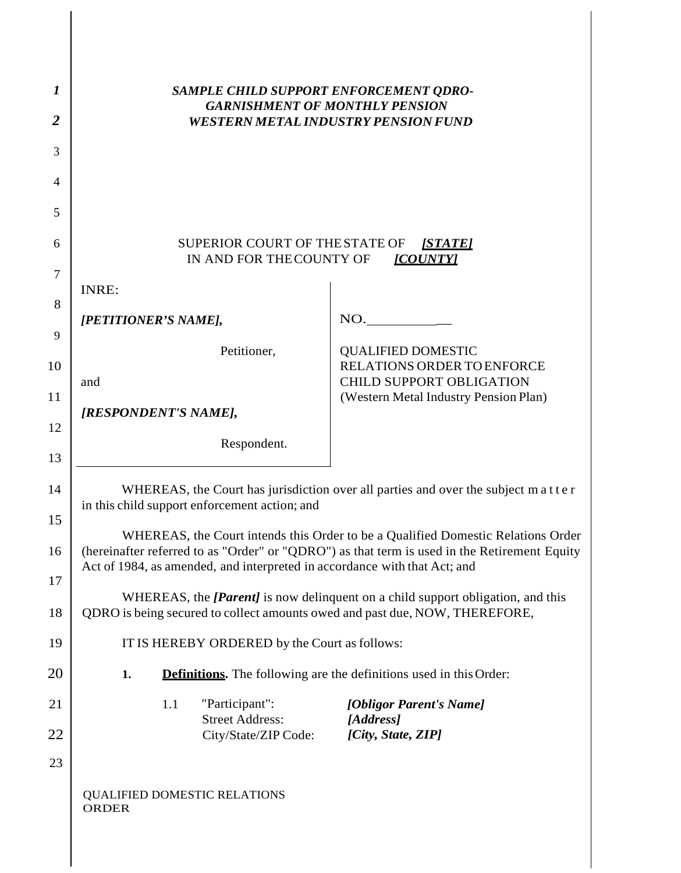| 1              | SAMPLE CHILD SUPPORT ENFORCEMENT QDRO-<br><b>GARNISHMENT OF MONTHLY PENSION</b>                                                                                       |                                                                                                                                                                                  |  |  |  |  |  |  |
|----------------|-----------------------------------------------------------------------------------------------------------------------------------------------------------------------|----------------------------------------------------------------------------------------------------------------------------------------------------------------------------------|--|--|--|--|--|--|
| $\overline{2}$ | <b>WESTERN METAL INDUSTRY PENSION FUND</b>                                                                                                                            |                                                                                                                                                                                  |  |  |  |  |  |  |
| 3              |                                                                                                                                                                       |                                                                                                                                                                                  |  |  |  |  |  |  |
| 4              |                                                                                                                                                                       |                                                                                                                                                                                  |  |  |  |  |  |  |
| 5              |                                                                                                                                                                       |                                                                                                                                                                                  |  |  |  |  |  |  |
| 6              | SUPERIOR COURT OF THE STATE OF<br><u>[STATE]</u><br>IN AND FOR THE COUNTY OF<br>[COUNTY]                                                                              |                                                                                                                                                                                  |  |  |  |  |  |  |
| $\tau$         | INRE:                                                                                                                                                                 |                                                                                                                                                                                  |  |  |  |  |  |  |
| 8              | [PETITIONER'S NAME],                                                                                                                                                  | NO.                                                                                                                                                                              |  |  |  |  |  |  |
| 9              | Petitioner,                                                                                                                                                           | <b>QUALIFIED DOMESTIC</b>                                                                                                                                                        |  |  |  |  |  |  |
| 10             | and                                                                                                                                                                   | RELATIONS ORDER TO ENFORCE<br><b>CHILD SUPPORT OBLIGATION</b>                                                                                                                    |  |  |  |  |  |  |
| 11             | [RESPONDENT'S NAME],                                                                                                                                                  | (Western Metal Industry Pension Plan)                                                                                                                                            |  |  |  |  |  |  |
| 12             | Respondent.                                                                                                                                                           |                                                                                                                                                                                  |  |  |  |  |  |  |
| 13             |                                                                                                                                                                       |                                                                                                                                                                                  |  |  |  |  |  |  |
| 14             | WHEREAS, the Court has jurisdiction over all parties and over the subject matter<br>in this child support enforcement action; and                                     |                                                                                                                                                                                  |  |  |  |  |  |  |
| 15             |                                                                                                                                                                       |                                                                                                                                                                                  |  |  |  |  |  |  |
| 16             |                                                                                                                                                                       | WHEREAS, the Court intends this Order to be a Qualified Domestic Relations Order<br>(hereinafter referred to as "Order" or "QDRO") as that term is used in the Retirement Equity |  |  |  |  |  |  |
| 17             | Act of 1984, as amended, and interpreted in accordance with that Act; and                                                                                             |                                                                                                                                                                                  |  |  |  |  |  |  |
| 18             | WHEREAS, the <i>[Parent]</i> is now delinquent on a child support obligation, and this<br>QDRO is being secured to collect amounts owed and past due, NOW, THEREFORE, |                                                                                                                                                                                  |  |  |  |  |  |  |
| 19             | IT IS HEREBY ORDERED by the Court as follows:                                                                                                                         |                                                                                                                                                                                  |  |  |  |  |  |  |
| 20             | <b>Definitions.</b> The following are the definitions used in this Order:<br>1.                                                                                       |                                                                                                                                                                                  |  |  |  |  |  |  |
| 21             | "Participant":<br>1.1<br><b>Street Address:</b>                                                                                                                       | [Obligor Parent's Name]                                                                                                                                                          |  |  |  |  |  |  |
| 22             | City/State/ZIP Code:                                                                                                                                                  | [Address]<br>[City, State, ZIP]                                                                                                                                                  |  |  |  |  |  |  |
| 23             |                                                                                                                                                                       |                                                                                                                                                                                  |  |  |  |  |  |  |
|                | <b>QUALIFIED DOMESTIC RELATIONS</b><br><b>ORDER</b>                                                                                                                   |                                                                                                                                                                                  |  |  |  |  |  |  |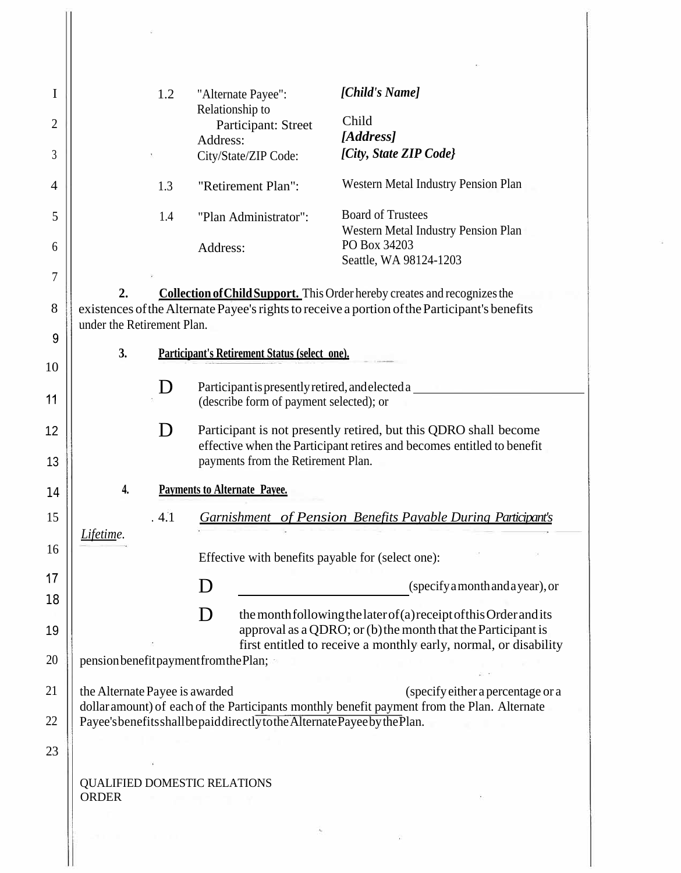| I  |                                                                                                                                                                                                                       | 1.2                                 |          | "Alternate Payee":                                | [Child's Name]                                                                                                                                                                                         |  |  |  |
|----|-----------------------------------------------------------------------------------------------------------------------------------------------------------------------------------------------------------------------|-------------------------------------|----------|---------------------------------------------------|--------------------------------------------------------------------------------------------------------------------------------------------------------------------------------------------------------|--|--|--|
| 2  |                                                                                                                                                                                                                       |                                     |          | Relationship to<br>Participant: Street            | Child                                                                                                                                                                                                  |  |  |  |
|    |                                                                                                                                                                                                                       |                                     | Address: |                                                   | [Address]<br>[City, State ZIP Code]                                                                                                                                                                    |  |  |  |
| 3  |                                                                                                                                                                                                                       |                                     |          | City/State/ZIP Code:                              |                                                                                                                                                                                                        |  |  |  |
| 4  |                                                                                                                                                                                                                       | 1.3                                 |          | "Retirement Plan":                                | Western Metal Industry Pension Plan                                                                                                                                                                    |  |  |  |
| 5  |                                                                                                                                                                                                                       | 1.4                                 |          | "Plan Administrator":                             | <b>Board of Trustees</b><br>Western Metal Industry Pension Plan                                                                                                                                        |  |  |  |
| 6  |                                                                                                                                                                                                                       |                                     | Address: |                                                   | PO Box 34203<br>Seattle, WA 98124-1203                                                                                                                                                                 |  |  |  |
| 7  |                                                                                                                                                                                                                       |                                     |          |                                                   |                                                                                                                                                                                                        |  |  |  |
| 8  | 2.<br><b>Collection of Child Support.</b> This Order hereby creates and recognizes the<br>existences of the Alternate Payee's rights to receive a portion of the Participant's benefits<br>under the Retirement Plan. |                                     |          |                                                   |                                                                                                                                                                                                        |  |  |  |
| 9  |                                                                                                                                                                                                                       |                                     |          |                                                   |                                                                                                                                                                                                        |  |  |  |
| 10 | 3.                                                                                                                                                                                                                    |                                     |          | Participant's Retirement Status (select one).     |                                                                                                                                                                                                        |  |  |  |
|    |                                                                                                                                                                                                                       |                                     |          | Participant is presently retired, and elected a   |                                                                                                                                                                                                        |  |  |  |
| 11 |                                                                                                                                                                                                                       |                                     |          | (describe form of payment selected); or           |                                                                                                                                                                                                        |  |  |  |
| 12 |                                                                                                                                                                                                                       | $\mathsf{D}$                        |          |                                                   | Participant is not presently retired, but this QDRO shall become                                                                                                                                       |  |  |  |
|    |                                                                                                                                                                                                                       |                                     |          |                                                   | effective when the Participant retires and becomes entitled to benefit                                                                                                                                 |  |  |  |
| 13 |                                                                                                                                                                                                                       |                                     |          | payments from the Retirement Plan.                |                                                                                                                                                                                                        |  |  |  |
| 14 | 4.                                                                                                                                                                                                                    | <b>Payments to Alternate Payee.</b> |          |                                                   |                                                                                                                                                                                                        |  |  |  |
| 15 | . 4.1                                                                                                                                                                                                                 |                                     |          |                                                   | Garnishment of Pension Benefits Payable During Participant's                                                                                                                                           |  |  |  |
|    | Lifetime.                                                                                                                                                                                                             |                                     |          |                                                   |                                                                                                                                                                                                        |  |  |  |
| 16 |                                                                                                                                                                                                                       |                                     |          | Effective with benefits payable for (select one): |                                                                                                                                                                                                        |  |  |  |
| 17 |                                                                                                                                                                                                                       |                                     | $\Box$   |                                                   | (specify a month and a year), or                                                                                                                                                                       |  |  |  |
| 18 |                                                                                                                                                                                                                       |                                     |          |                                                   |                                                                                                                                                                                                        |  |  |  |
| 19 |                                                                                                                                                                                                                       |                                     |          |                                                   | the month following the later of (a) receipt of this Order and its<br>approval as a QDRO; or (b) the month that the Participant is<br>first entitled to receive a monthly early, normal, or disability |  |  |  |
| 20 | pension benefit payment from the Plan;                                                                                                                                                                                |                                     |          |                                                   |                                                                                                                                                                                                        |  |  |  |
| 21 | the Alternate Payee is awarded<br>(specify either a percentage or a                                                                                                                                                   |                                     |          |                                                   |                                                                                                                                                                                                        |  |  |  |
| 22 | dollar amount) of each of the Participants monthly benefit payment from the Plan. Alternate<br>Payee's benefits shall be paid directly to the Alternate Payee by the Plan.                                            |                                     |          |                                                   |                                                                                                                                                                                                        |  |  |  |
|    |                                                                                                                                                                                                                       |                                     |          |                                                   |                                                                                                                                                                                                        |  |  |  |
| 23 |                                                                                                                                                                                                                       |                                     |          |                                                   |                                                                                                                                                                                                        |  |  |  |
|    |                                                                                                                                                                                                                       | <b>QUALIFIED DOMESTIC RELATIONS</b> |          |                                                   |                                                                                                                                                                                                        |  |  |  |
|    | <b>ORDER</b>                                                                                                                                                                                                          |                                     |          |                                                   |                                                                                                                                                                                                        |  |  |  |
|    |                                                                                                                                                                                                                       |                                     |          |                                                   |                                                                                                                                                                                                        |  |  |  |
|    |                                                                                                                                                                                                                       |                                     |          |                                                   |                                                                                                                                                                                                        |  |  |  |
|    |                                                                                                                                                                                                                       |                                     |          |                                                   |                                                                                                                                                                                                        |  |  |  |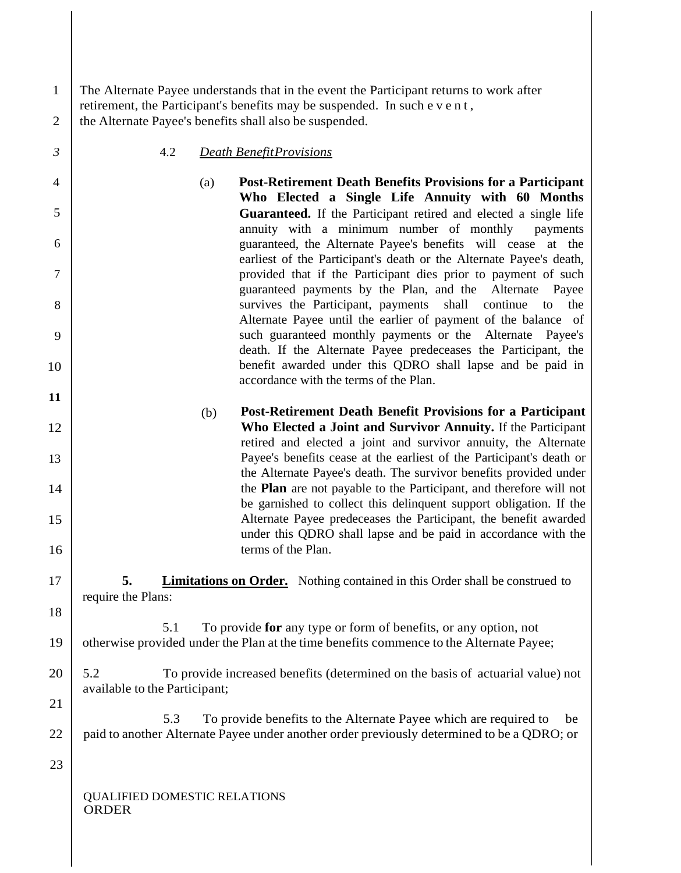| $\mathbf{1}$<br>$\overline{2}$ | The Alternate Payee understands that in the event the Participant returns to work after<br>retirement, the Participant's benefits may be suspended. In such e v e n t,<br>the Alternate Payee's benefits shall also be suspended. |  |  |  |  |  |
|--------------------------------|-----------------------------------------------------------------------------------------------------------------------------------------------------------------------------------------------------------------------------------|--|--|--|--|--|
| $\mathfrak{Z}$                 | 4.2<br><b>Death Benefit Provisions</b>                                                                                                                                                                                            |  |  |  |  |  |
| $\overline{4}$                 | <b>Post-Retirement Death Benefits Provisions for a Participant</b><br>(a)                                                                                                                                                         |  |  |  |  |  |
| 5                              | Who Elected a Single Life Annuity with 60 Months<br>Guaranteed. If the Participant retired and elected a single life                                                                                                              |  |  |  |  |  |
| 6                              | annuity with a minimum number of monthly<br>payments<br>guaranteed, the Alternate Payee's benefits will cease at the<br>earliest of the Participant's death or the Alternate Payee's death,                                       |  |  |  |  |  |
| $\tau$                         | provided that if the Participant dies prior to payment of such<br>guaranteed payments by the Plan, and the Alternate<br>Payee                                                                                                     |  |  |  |  |  |
| 8                              | survives the Participant, payments<br>shall<br>continue<br>the<br>to<br>Alternate Payee until the earlier of payment of the balance of                                                                                            |  |  |  |  |  |
| 9                              | such guaranteed monthly payments or the Alternate Payee's<br>death. If the Alternate Payee predeceases the Participant, the                                                                                                       |  |  |  |  |  |
| 10<br>11                       | benefit awarded under this QDRO shall lapse and be paid in<br>accordance with the terms of the Plan.                                                                                                                              |  |  |  |  |  |
|                                | <b>Post-Retirement Death Benefit Provisions for a Participant</b><br>(b)                                                                                                                                                          |  |  |  |  |  |
| 12                             | Who Elected a Joint and Survivor Annuity. If the Participant                                                                                                                                                                      |  |  |  |  |  |
|                                | retired and elected a joint and survivor annuity, the Alternate                                                                                                                                                                   |  |  |  |  |  |
| 13<br>14                       | Payee's benefits cease at the earliest of the Participant's death or<br>the Alternate Payee's death. The survivor benefits provided under<br>the <b>Plan</b> are not payable to the Participant, and therefore will not           |  |  |  |  |  |
| 15                             | be garnished to collect this delinquent support obligation. If the<br>Alternate Payee predeceases the Participant, the benefit awarded                                                                                            |  |  |  |  |  |
| 16                             | under this QDRO shall lapse and be paid in accordance with the<br>terms of the Plan.                                                                                                                                              |  |  |  |  |  |
| 17                             | <b>Limitations on Order.</b> Nothing contained in this Order shall be construed to<br>5.<br>require the Plans:                                                                                                                    |  |  |  |  |  |
| 18                             |                                                                                                                                                                                                                                   |  |  |  |  |  |
| 19                             | To provide for any type or form of benefits, or any option, not<br>5.1<br>otherwise provided under the Plan at the time benefits commence to the Alternate Payee;                                                                 |  |  |  |  |  |
| 20                             | 5.2<br>To provide increased benefits (determined on the basis of actuarial value) not                                                                                                                                             |  |  |  |  |  |
| 21                             | available to the Participant;                                                                                                                                                                                                     |  |  |  |  |  |
| 22                             | To provide benefits to the Alternate Payee which are required to<br>5.3<br>be<br>paid to another Alternate Payee under another order previously determined to be a QDRO; or                                                       |  |  |  |  |  |
| 23                             |                                                                                                                                                                                                                                   |  |  |  |  |  |
|                                | <b>QUALIFIED DOMESTIC RELATIONS</b><br><b>ORDER</b>                                                                                                                                                                               |  |  |  |  |  |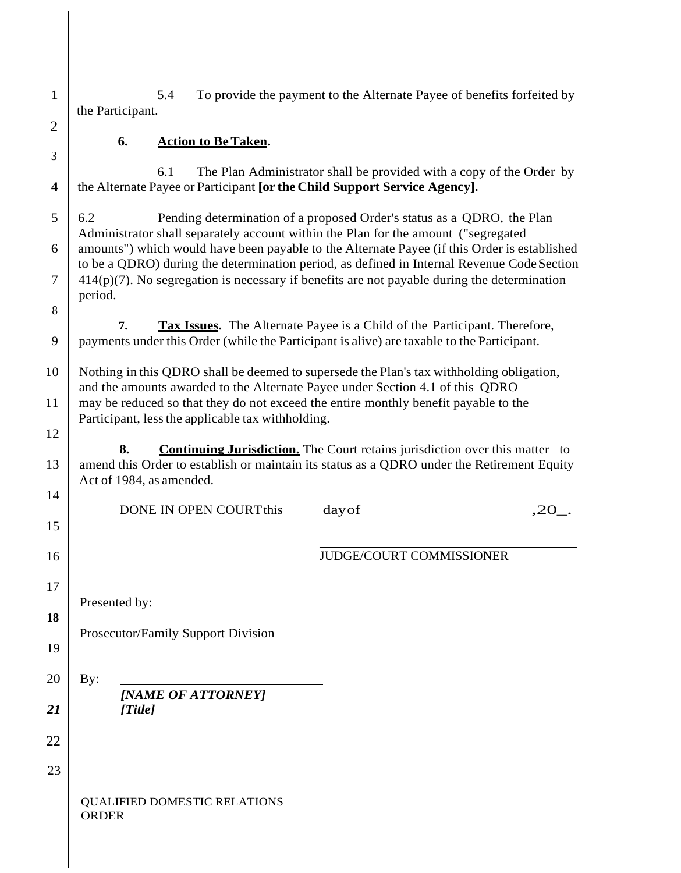1 5.4 the Participant. To provide the payment to the Alternate Payee of benefits forfeited by

## **6. Action to BeTaken.**

6.1 The Plan Administrator shall be provided with a copy of the Order by **4** the Alternate Payee or Participant **[or the Child Support Service Agency].**

5 6.2 Pending determination of a proposed Order's status as a QDRO, the Plan Administrator shall separately account within the Plan for the amount ("segregated  $6 \mid$  amounts") which would have been payable to the Alternate Payee (if this Order is established to be a QDRO) during the determination period, as defined in Internal Revenue CodeSection  $7 \mid 414(p)(7)$ . No segregation is necessary if benefits are not payable during the determination period.

**7. Tax Issues.** The Alternate Payee is a Child of the Participant. Therefore, 9 payments under this Order (while the Participant is alive) are taxable to the Participant.

10 Nothing in this QDRO shall be deemed to supersede the Plan's tax withholding obligation, and the amounts awarded to the Alternate Payee under Section 4.1 of this QDRO 11 may be reduced so that they do not exceed the entire monthly benefit payable to the Participant, less the applicable tax withholding.

**8. Continuing Jurisdiction.** The Court retains jurisdiction over this matter to 13 amend this Order to establish or maintain its status as a QDRO under the Retirement Equity Act of 1984, as amended.

14

15

16

17

**18**

19

12

2

3

8

DONE IN OPEN COURTthis in the day of the contract of the country of the contract of the contract of the contract of  $20$ .

#### JUDGE/COURT COMMISSIONER

Presented by:

Prosecutor/Family Support Division

 $20$  By: *[NAME OF ATTORNEY] 21 [Title]*

22

23

## QUALIFIED DOMESTIC RELATIONS ORDER